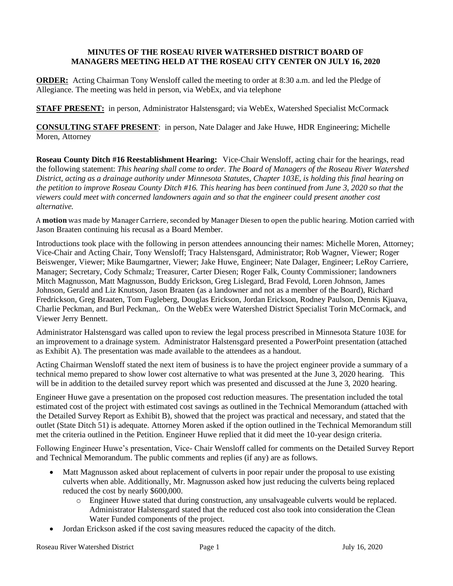## **MINUTES OF THE ROSEAU RIVER WATERSHED DISTRICT BOARD OF MANAGERS MEETING HELD AT THE ROSEAU CITY CENTER ON JULY 16, 2020**

**ORDER:** Acting Chairman Tony Wensloff called the meeting to order at 8:30 a.m. and led the Pledge of Allegiance. The meeting was held in person, via WebEx, and via telephone

**STAFF PRESENT:** in person, Administrator Halstensgard; via WebEx, Watershed Specialist McCormack

**CONSULTING STAFF PRESENT**: in person, Nate Dalager and Jake Huwe, HDR Engineering; Michelle Moren, Attorney

**Roseau County Ditch #16 Reestablishment Hearing:** Vice-Chair Wensloff, acting chair for the hearings, read the following statement: *This hearing shall come to order. The Board of Managers of the Roseau River Watershed District, acting as a drainage authority under Minnesota Statutes, Chapter 103E, is holding this final hearing on the petition to improve Roseau County Ditch #16. This hearing has been continued from June 3, 2020 so that the viewers could meet with concerned landowners again and so that the engineer could present another cost alternative.*

A **motion** was made by Manager Carriere, seconded by Manager Diesen to open the public hearing. Motion carried with Jason Braaten continuing his recusal as a Board Member.

Introductions took place with the following in person attendees announcing their names: Michelle Moren, Attorney; Vice-Chair and Acting Chair, Tony Wensloff; Tracy Halstensgard, Administrator; Rob Wagner, Viewer; Roger Beiswenger, Viewer; Mike Baumgartner, Viewer; Jake Huwe, Engineer; Nate Dalager, Engineer; LeRoy Carriere, Manager; Secretary, Cody Schmalz; Treasurer, Carter Diesen; Roger Falk, County Commissioner; landowners Mitch Magnusson, Matt Magnusson, Buddy Erickson, Greg Lislegard, Brad Fevold, Loren Johnson, James Johnson, Gerald and Liz Knutson, Jason Braaten (as a landowner and not as a member of the Board), Richard Fredrickson, Greg Braaten, Tom Fugleberg, Douglas Erickson, Jordan Erickson, Rodney Paulson, Dennis Kjuava, Charlie Peckman, and Burl Peckman,. On the WebEx were Watershed District Specialist Torin McCormack, and Viewer Jerry Bennett.

Administrator Halstensgard was called upon to review the legal process prescribed in Minnesota Stature 103E for an improvement to a drainage system. Administrator Halstensgard presented a PowerPoint presentation (attached as Exhibit A). The presentation was made available to the attendees as a handout.

Acting Chairman Wensloff stated the next item of business is to have the project engineer provide a summary of a technical memo prepared to show lower cost alternative to what was presented at the June 3, 2020 hearing. This will be in addition to the detailed survey report which was presented and discussed at the June 3, 2020 hearing.

Engineer Huwe gave a presentation on the proposed cost reduction measures. The presentation included the total estimated cost of the project with estimated cost savings as outlined in the Technical Memorandum (attached with the Detailed Survey Report as Exhibit B), showed that the project was practical and necessary, and stated that the outlet (State Ditch 51) is adequate. Attorney Moren asked if the option outlined in the Technical Memorandum still met the criteria outlined in the Petition. Engineer Huwe replied that it did meet the 10-year design criteria.

Following Engineer Huwe's presentation, Vice- Chair Wensloff called for comments on the Detailed Survey Report and Technical Memorandum. The public comments and replies (if any) are as follows.

- Matt Magnusson asked about replacement of culverts in poor repair under the proposal to use existing culverts when able. Additionally, Mr. Magnusson asked how just reducing the culverts being replaced reduced the cost by nearly \$600,000.
	- o Engineer Huwe stated that during construction, any unsalvageable culverts would be replaced. Administrator Halstensgard stated that the reduced cost also took into consideration the Clean Water Funded components of the project.
- Jordan Erickson asked if the cost saving measures reduced the capacity of the ditch.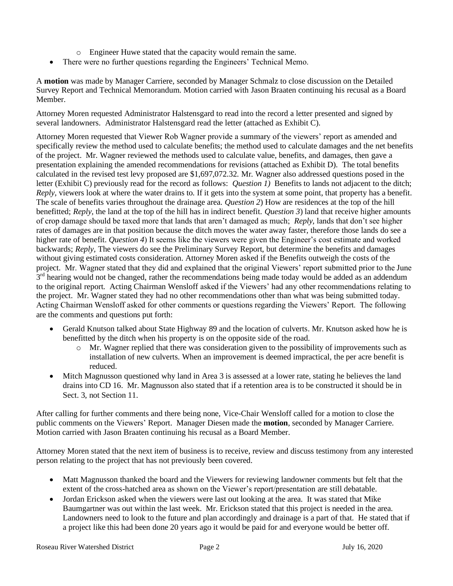- o Engineer Huwe stated that the capacity would remain the same.
- There were no further questions regarding the Engineers' Technical Memo.

A **motion** was made by Manager Carriere, seconded by Manager Schmalz to close discussion on the Detailed Survey Report and Technical Memorandum. Motion carried with Jason Braaten continuing his recusal as a Board Member.

Attorney Moren requested Administrator Halstensgard to read into the record a letter presented and signed by several landowners. Administrator Halstensgard read the letter (attached as Exhibit C).

Attorney Moren requested that Viewer Rob Wagner provide a summary of the viewers' report as amended and specifically review the method used to calculate benefits; the method used to calculate damages and the net benefits of the project. Mr. Wagner reviewed the methods used to calculate value, benefits, and damages, then gave a presentation explaining the amended recommendations for revisions (attached as Exhibit D). The total benefits calculated in the revised test levy proposed are \$1,697,072.32. Mr. Wagner also addressed questions posed in the letter (Exhibit C) previously read for the record as follows: *Question 1)* Benefits to lands not adjacent to the ditch; *Reply*, viewers look at where the water drains to. If it gets into the system at some point, that property has a benefit. The scale of benefits varies throughout the drainage area. *Question 2*) How are residences at the top of the hill benefitted; *Reply,* the land at the top of the hill has in indirect benefit. *Question 3*) land that receive higher amounts of crop damage should be taxed more that lands that aren't damaged as much; *Reply,* lands that don't see higher rates of damages are in that position because the ditch moves the water away faster, therefore those lands do see a higher rate of benefit. *Question 4*) It seems like the viewers were given the Engineer's cost estimate and worked backwards; *Reply,* The viewers do see the Preliminary Survey Report, but determine the benefits and damages without giving estimated costs consideration. Attorney Moren asked if the Benefits outweigh the costs of the project. Mr. Wagner stated that they did and explained that the original Viewers' report submitted prior to the June 3<sup>rd</sup> hearing would not be changed, rather the recommendations being made today would be added as an addendum to the original report. Acting Chairman Wensloff asked if the Viewers' had any other recommendations relating to the project. Mr. Wagner stated they had no other recommendations other than what was being submitted today. Acting Chairman Wensloff asked for other comments or questions regarding the Viewers' Report. The following are the comments and questions put forth:

- Gerald Knutson talked about State Highway 89 and the location of culverts. Mr. Knutson asked how he is benefitted by the ditch when his property is on the opposite side of the road.
	- o Mr. Wagner replied that there was consideration given to the possibility of improvements such as installation of new culverts. When an improvement is deemed impractical, the per acre benefit is reduced.
- Mitch Magnusson questioned why land in Area 3 is assessed at a lower rate, stating he believes the land drains into CD 16. Mr. Magnusson also stated that if a retention area is to be constructed it should be in Sect. 3, not Section 11.

After calling for further comments and there being none, Vice-Chair Wensloff called for a motion to close the public comments on the Viewers' Report. Manager Diesen made the **motion**, seconded by Manager Carriere. Motion carried with Jason Braaten continuing his recusal as a Board Member.

Attorney Moren stated that the next item of business is to receive, review and discuss testimony from any interested person relating to the project that has not previously been covered.

- Matt Magnusson thanked the board and the Viewers for reviewing landowner comments but felt that the extent of the cross-hatched area as shown on the Viewer's report/presentation are still debatable.
- Jordan Erickson asked when the viewers were last out looking at the area. It was stated that Mike Baumgartner was out within the last week. Mr. Erickson stated that this project is needed in the area. Landowners need to look to the future and plan accordingly and drainage is a part of that. He stated that if a project like this had been done 20 years ago it would be paid for and everyone would be better off.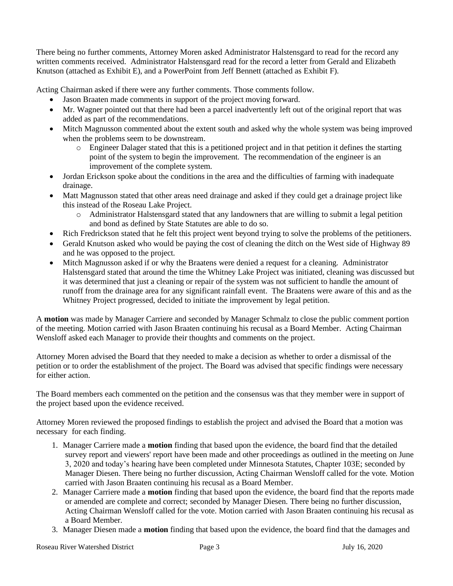There being no further comments, Attorney Moren asked Administrator Halstensgard to read for the record any written comments received. Administrator Halstensgard read for the record a letter from Gerald and Elizabeth Knutson (attached as Exhibit E), and a PowerPoint from Jeff Bennett (attached as Exhibit F).

Acting Chairman asked if there were any further comments. Those comments follow.

- Jason Braaten made comments in support of the project moving forward.
- Mr. Wagner pointed out that there had been a parcel inadvertently left out of the original report that was added as part of the recommendations.
- Mitch Magnusson commented about the extent south and asked why the whole system was being improved when the problems seem to be downstream.
	- o Engineer Dalager stated that this is a petitioned project and in that petition it defines the starting point of the system to begin the improvement. The recommendation of the engineer is an improvement of the complete system.
- Jordan Erickson spoke about the conditions in the area and the difficulties of farming with inadequate drainage.
- Matt Magnusson stated that other areas need drainage and asked if they could get a drainage project like this instead of the Roseau Lake Project.
	- o Administrator Halstensgard stated that any landowners that are willing to submit a legal petition and bond as defined by State Statutes are able to do so.
- Rich Fredrickson stated that he felt this project went beyond trying to solve the problems of the petitioners.
- Gerald Knutson asked who would be paying the cost of cleaning the ditch on the West side of Highway 89 and he was opposed to the project.
- Mitch Magnusson asked if or why the Braatens were denied a request for a cleaning. Administrator Halstensgard stated that around the time the Whitney Lake Project was initiated, cleaning was discussed but it was determined that just a cleaning or repair of the system was not sufficient to handle the amount of runoff from the drainage area for any significant rainfall event. The Braatens were aware of this and as the Whitney Project progressed, decided to initiate the improvement by legal petition.

A **motion** was made by Manager Carriere and seconded by Manager Schmalz to close the public comment portion of the meeting. Motion carried with Jason Braaten continuing his recusal as a Board Member. Acting Chairman Wensloff asked each Manager to provide their thoughts and comments on the project.

Attorney Moren advised the Board that they needed to make a decision as whether to order a dismissal of the petition or to order the establishment of the project. The Board was advised that specific findings were necessary for either action.

The Board members each commented on the petition and the consensus was that they member were in support of the project based upon the evidence received.

Attorney Moren reviewed the proposed findings to establish the project and advised the Board that a motion was necessary for each finding.

- 1. Manager Carriere made a **motion** finding that based upon the evidence, the board find that the detailed survey report and viewers' report have been made and other proceedings as outlined in the meeting on June 3, 2020 and today's hearing have been completed under Minnesota Statutes, Chapter 103E; seconded by Manager Diesen. There being no further discussion, Acting Chairman Wensloff called for the vote. Motion carried with Jason Braaten continuing his recusal as a Board Member.
- 2. Manager Carriere made a **motion** finding that based upon the evidence, the board find that the reports made or amended are complete and correct; seconded by Manager Diesen. There being no further discussion, Acting Chairman Wensloff called for the vote. Motion carried with Jason Braaten continuing his recusal as a Board Member.
- 3. Manager Diesen made a **motion** finding that based upon the evidence, the board find that the damages and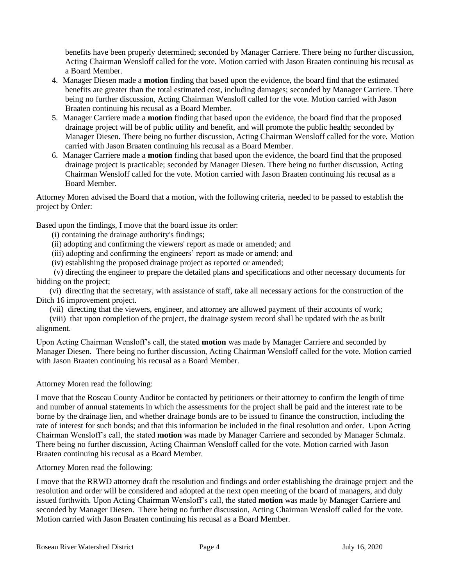benefits have been properly determined; seconded by Manager Carriere. There being no further discussion, Acting Chairman Wensloff called for the vote. Motion carried with Jason Braaten continuing his recusal as a Board Member.

- 4. Manager Diesen made a **motion** finding that based upon the evidence, the board find that the estimated benefits are greater than the total estimated cost, including damages; seconded by Manager Carriere. There being no further discussion, Acting Chairman Wensloff called for the vote. Motion carried with Jason Braaten continuing his recusal as a Board Member.
- 5. Manager Carriere made a **motion** finding that based upon the evidence, the board find that the proposed drainage project will be of public utility and benefit, and will promote the public health; seconded by Manager Diesen. There being no further discussion, Acting Chairman Wensloff called for the vote. Motion carried with Jason Braaten continuing his recusal as a Board Member.
- 6. Manager Carriere made a **motion** finding that based upon the evidence, the board find that the proposed drainage project is practicable; seconded by Manager Diesen. There being no further discussion, Acting Chairman Wensloff called for the vote. Motion carried with Jason Braaten continuing his recusal as a Board Member.

Attorney Moren advised the Board that a motion, with the following criteria, needed to be passed to establish the project by Order:

Based upon the findings, I move that the board issue its order:

(i) containing the drainage authority's findings;

- (ii) adopting and confirming the viewers' report as made or amended; and
- (iii) adopting and confirming the engineers' report as made or amend; and
- (iv) establishing the proposed drainage project as reported or amended;

 (v) directing the engineer to prepare the detailed plans and specifications and other necessary documents for bidding on the project;

(vi) directing that the secretary, with assistance of staff, take all necessary actions for the construction of the Ditch 16 improvement project.

(vii) directing that the viewers, engineer, and attorney are allowed payment of their accounts of work;

(viii) that upon completion of the project, the drainage system record shall be updated with the as built alignment.

Upon Acting Chairman Wensloff's call, the stated **motion** was made by Manager Carriere and seconded by Manager Diesen. There being no further discussion, Acting Chairman Wensloff called for the vote. Motion carried with Jason Braaten continuing his recusal as a Board Member.

Attorney Moren read the following:

I move that the Roseau County Auditor be contacted by petitioners or their attorney to confirm the length of time and number of annual statements in which the assessments for the project shall be paid and the interest rate to be borne by the drainage lien, and whether drainage bonds are to be issued to finance the construction, including the rate of interest for such bonds; and that this information be included in the final resolution and order. Upon Acting Chairman Wensloff's call, the stated **motion** was made by Manager Carriere and seconded by Manager Schmalz. There being no further discussion, Acting Chairman Wensloff called for the vote. Motion carried with Jason Braaten continuing his recusal as a Board Member.

Attorney Moren read the following:

I move that the RRWD attorney draft the resolution and findings and order establishing the drainage project and the resolution and order will be considered and adopted at the next open meeting of the board of managers, and duly issued forthwith. Upon Acting Chairman Wensloff's call, the stated **motion** was made by Manager Carriere and seconded by Manager Diesen. There being no further discussion, Acting Chairman Wensloff called for the vote. Motion carried with Jason Braaten continuing his recusal as a Board Member.